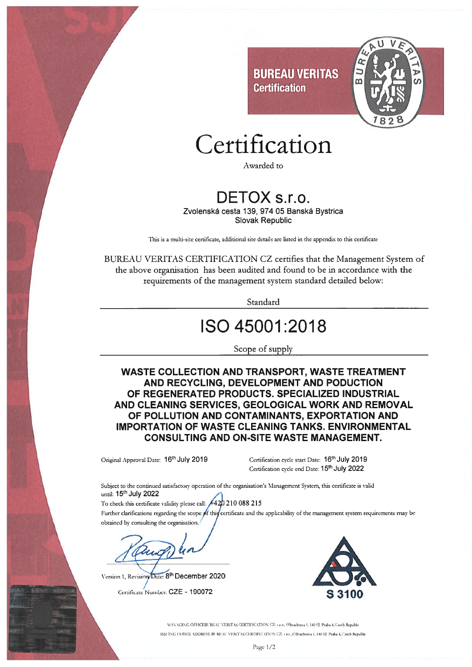

## Certification

Awarded to

#### DETOX s.r.o.

Zvolenská cesta 139, 974 05 Banská Bystrica **Slovak Republic** 

This is a multi-site certificate, additional site details are listed in the appendix to this certificate

BUREAU VERITAS CERTIFICATION CZ certifies that the Management System of the above organisation has been audited and found to be in accordance with the requirements of the management system standard detailed below:

Standard

### ISO 45001:2018

Scope of supply

**WASTE COLLECTION AND TRANSPORT, WASTE TREATMENT** AND RECYCLING, DEVELOPMENT AND PODUCTION OF REGENERATED PRODUCTS. SPECIALIZED INDUSTRIAL AND CLEANING SERVICES, GEOLOGICAL WORK AND REMOVAL OF POLLUTION AND CONTAMINANTS, EXPORTATION AND **IMPORTATION OF WASTE CLEANING TANKS, ENVIRONMENTAL CONSULTING AND ON-SITE WASTE MANAGEMENT.** 

Original Approval Date: 16th July 2019

Certification cycle start Date: 16<sup>th</sup> July 2019 Certification cycle end Date: 15<sup>th</sup> July 2022

Subject to the continued satisfactory operation of the organisation's Management System, this certificate is valid until: 15th July 2022

420 210 088 215 To check this certificate validity please call: Further clarifications regarding the scope of this certificate and the applicability of the management system requirements may be

obtained by consulting the organisation.

Date: 8<sup>th</sup> December 2020 Version 1, Revision

Certificate Number: CZE - 190072



MANAGING OFFICEBUREAU VERITAS CERTIFICATION CZ. s.r.o., Olbrachtova 1, 140 02 Praha 4, Czech Republic ISSUING OFFICE ADDRESS: BUREAU VERITAS CERTIFICATION CZ. s.r.o., Olbrachtova 1, 140 (2. Praha 4, Czech Republic

Page  $1/2$